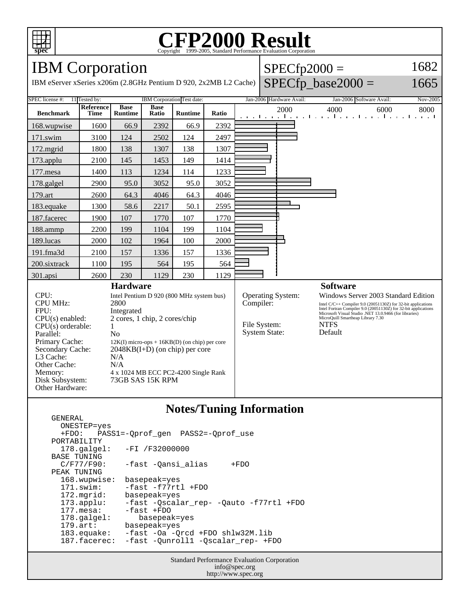

## C<sub>opyright</sub> ©1999-2005, Standard Performance Evaluation Corporation

IBM Corporation

GENERAL

IBM eServer xSeries x206m (2.8GHz Pentium D 920, 2x2MB L2

| $ $ SPECfp2000 =                             | 1682 |
|----------------------------------------------|------|
| $\text{Cache}\mid \text{SPECfp\_base2000} =$ | 1665 |

| SPEC license #: 11 Tested by:                                                  |                          | IBM Corporation Test date:    |                             |                | Jan-2006 Hardware Avail:<br>Jan-2006 Software Avail:<br>Nov-2005 |                                                                                                                                                                                          |                                   |                                                                        |
|--------------------------------------------------------------------------------|--------------------------|-------------------------------|-----------------------------|----------------|------------------------------------------------------------------|------------------------------------------------------------------------------------------------------------------------------------------------------------------------------------------|-----------------------------------|------------------------------------------------------------------------|
| <b>Benchmark</b>                                                               | Reference<br><b>Time</b> | <b>Base</b><br><b>Runtime</b> | <b>Base</b><br>Ratio        | <b>Runtime</b> | Ratio                                                            |                                                                                                                                                                                          | 2000                              | 4000<br>6000<br>8000<br>المتما وبالمتواط والمتواط والمتواط والمتواطنين |
| 168.wupwise                                                                    | 1600                     | 66.9                          | 2392                        | 66.9           | 2392                                                             |                                                                                                                                                                                          |                                   |                                                                        |
| 171.swim                                                                       | 3100                     | 124                           | 2502                        | 124            | 2497                                                             |                                                                                                                                                                                          |                                   |                                                                        |
| 172.mgrid                                                                      | 1800                     | 138                           | 1307                        | 138            | 1307                                                             |                                                                                                                                                                                          |                                   |                                                                        |
| $173$ .applu                                                                   | 2100                     | 145                           | 1453                        | 149            | 1414                                                             |                                                                                                                                                                                          |                                   |                                                                        |
| $177$ .mesa                                                                    | 1400                     | 113                           | 1234                        | 114            | 1233                                                             |                                                                                                                                                                                          |                                   |                                                                        |
| 178.galgel                                                                     | 2900                     | 95.0                          | 3052                        | 95.0           | 3052                                                             |                                                                                                                                                                                          |                                   |                                                                        |
| 179.art                                                                        | 2600                     | 64.3                          | 4046                        | 64.3           | 4046                                                             |                                                                                                                                                                                          |                                   |                                                                        |
| 183.equake                                                                     | 1300                     | 58.6                          | 2217                        | 50.1           | 2595                                                             |                                                                                                                                                                                          |                                   |                                                                        |
| 187.facerec                                                                    | 1900                     | 107                           | 1770                        | 107            | 1770                                                             |                                                                                                                                                                                          |                                   |                                                                        |
| 188.ammp                                                                       | 2200                     | 199                           | 1104                        | 199            | 1104                                                             |                                                                                                                                                                                          |                                   |                                                                        |
| 189.lucas                                                                      | 2000                     | 102                           | 1964                        | 100            | 2000                                                             |                                                                                                                                                                                          |                                   |                                                                        |
| 191.fma3d                                                                      | 2100                     | 157                           | 1336                        | 157            | 1336                                                             |                                                                                                                                                                                          |                                   |                                                                        |
| 200.sixtrack                                                                   | 1100                     | 195                           | 564                         | 195            | 564                                                              |                                                                                                                                                                                          |                                   |                                                                        |
| 301.apsi                                                                       | 2600                     | 230                           | 1129                        | 230            | 1129                                                             |                                                                                                                                                                                          |                                   |                                                                        |
| <b>Hardware</b>                                                                |                          |                               |                             |                |                                                                  |                                                                                                                                                                                          |                                   | <b>Software</b>                                                        |
| CPU:<br>Intel Pentium D 920 (800 MHz system bus)                               |                          |                               |                             |                | <b>Operating System:</b><br>Windows Server 2003 Standard Edition |                                                                                                                                                                                          |                                   |                                                                        |
| <b>CPU MHz:</b>                                                                | 2800                     |                               |                             | Compiler:      |                                                                  | Intel C/C++ Compiler 9.0 (20051130Z) for 32-bit applications<br>Intel Fortran Compiler 9.0 (20051130Z) for 32-bit applications<br>Microsoft Visual Studio .NET 13.0.9466 (for libraries) |                                   |                                                                        |
| FPU:<br>Integrated                                                             |                          |                               |                             |                |                                                                  |                                                                                                                                                                                          | MicroQuill Smartheap Library 7.30 |                                                                        |
| 2 cores, 1 chip, 2 cores/chip<br>$CPU(s)$ enabled:<br>$CPU(s)$ orderable:<br>1 |                          |                               | File System:<br><b>NTFS</b> |                |                                                                  |                                                                                                                                                                                          |                                   |                                                                        |
| Parallel:<br>N <sub>0</sub>                                                    |                          |                               |                             |                | <b>System State:</b>                                             |                                                                                                                                                                                          | Default                           |                                                                        |
| Primary Cache:<br>$12K(I)$ micro-ops + $16KB(D)$ (on chip) per core            |                          |                               |                             |                |                                                                  |                                                                                                                                                                                          |                                   |                                                                        |
| Secondary Cache:<br>$2048KB(I+D)$ (on chip) per core                           |                          |                               |                             |                |                                                                  |                                                                                                                                                                                          |                                   |                                                                        |
| L3 Cache:<br>N/A                                                               |                          |                               |                             |                |                                                                  |                                                                                                                                                                                          |                                   |                                                                        |
| Other Cache:                                                                   |                          | N/A                           |                             |                |                                                                  |                                                                                                                                                                                          |                                   |                                                                        |
| Memory:<br>4 x 1024 MB ECC PC2-4200 Single Rank                                |                          |                               |                             |                |                                                                  |                                                                                                                                                                                          |                                   |                                                                        |
| Disk Subsystem:                                                                |                          | 73GB SAS 15K RPM              |                             |                |                                                                  |                                                                                                                                                                                          |                                   |                                                                        |
| Other Hardware:                                                                |                          |                               |                             |                |                                                                  |                                                                                                                                                                                          |                                   |                                                                        |

#### **Notes/Tuning Information**

```
 ONESTEP=yes
   +FDO: PASS1=-Qprof_gen PASS2=-Qprof_use
PORTABILITY<br>178.qalqel:
                  -FI /F32000000
BASE TUNING<br>C/F77/F90:
                  -fast -Qansi_alias +FDO
 PEAK TUNING
   168.wupwise: basepeak=yes
   171.swim: -fast -f77rtl +FDO
   172.mgrid: basepeak=yes
   173.applu: -fast -Qscalar_rep- -Qauto -f77rtl +FDO
  177.mesa: -fast +FDO<br>178.galgel: basepeal
  178.galgel: basepeak=yes<br>179.art: basepeak=yes
  179.art: basepeak=yes<br>183.equake: -fast -Oa -Q
   183.equake: -fast -Oa -Qrcd +FDO shlw32M.lib
                  -fast -Qunroll1 -Qscalar_rep- +FDO
```
Standard Performance Evaluation Corporation info@spec.org http://www.spec.org